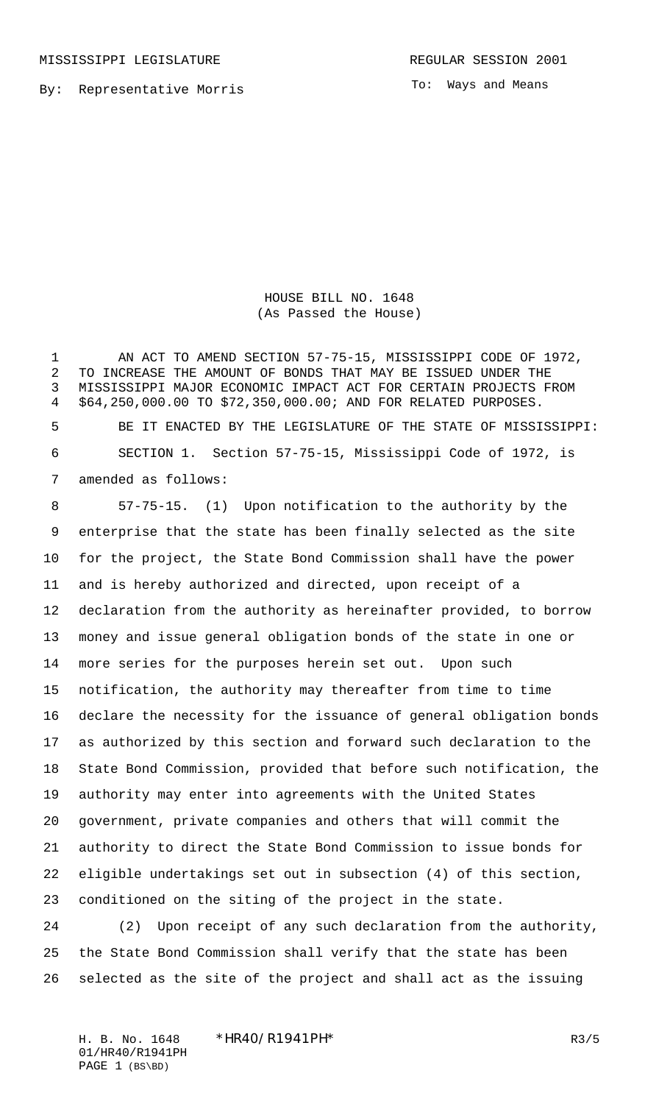MISSISSIPPI LEGISLATURE **REGULAR SESSION 2001** 

By: Representative Morris

To: Ways and Means

HOUSE BILL NO. 1648 (As Passed the House)

 AN ACT TO AMEND SECTION 57-75-15, MISSISSIPPI CODE OF 1972, TO INCREASE THE AMOUNT OF BONDS THAT MAY BE ISSUED UNDER THE MISSISSIPPI MAJOR ECONOMIC IMPACT ACT FOR CERTAIN PROJECTS FROM \$64,250,000.00 TO \$72,350,000.00; AND FOR RELATED PURPOSES. BE IT ENACTED BY THE LEGISLATURE OF THE STATE OF MISSISSIPPI: SECTION 1. Section 57-75-15, Mississippi Code of 1972, is amended as follows:

 57-75-15. (1) Upon notification to the authority by the enterprise that the state has been finally selected as the site for the project, the State Bond Commission shall have the power and is hereby authorized and directed, upon receipt of a declaration from the authority as hereinafter provided, to borrow money and issue general obligation bonds of the state in one or more series for the purposes herein set out. Upon such notification, the authority may thereafter from time to time declare the necessity for the issuance of general obligation bonds as authorized by this section and forward such declaration to the State Bond Commission, provided that before such notification, the authority may enter into agreements with the United States government, private companies and others that will commit the authority to direct the State Bond Commission to issue bonds for eligible undertakings set out in subsection (4) of this section, conditioned on the siting of the project in the state.

 (2) Upon receipt of any such declaration from the authority, the State Bond Commission shall verify that the state has been selected as the site of the project and shall act as the issuing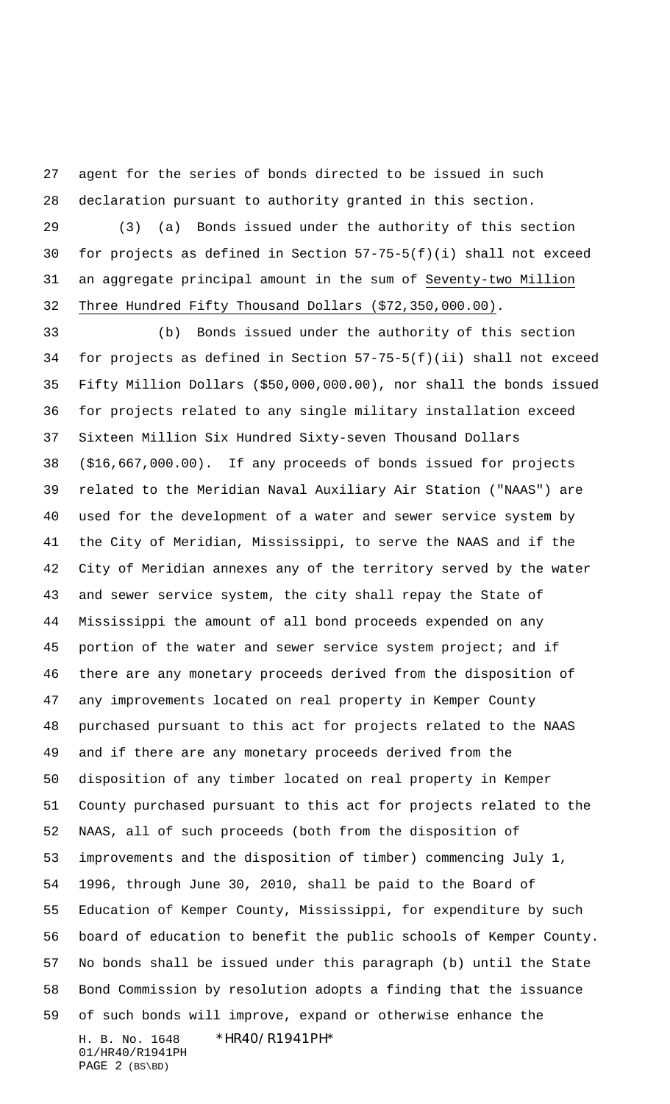agent for the series of bonds directed to be issued in such declaration pursuant to authority granted in this section.

 (3) (a) Bonds issued under the authority of this section for projects as defined in Section 57-75-5(f)(i) shall not exceed an aggregate principal amount in the sum of Seventy-two Million Three Hundred Fifty Thousand Dollars (\$72,350,000.00).

H. B. No. 1648 \*HR40/R1941PH\* 01/HR40/R1941PH PAGE 2 (BS\BD) (b) Bonds issued under the authority of this section for projects as defined in Section 57-75-5(f)(ii) shall not exceed Fifty Million Dollars (\$50,000,000.00), nor shall the bonds issued for projects related to any single military installation exceed Sixteen Million Six Hundred Sixty-seven Thousand Dollars (\$16,667,000.00). If any proceeds of bonds issued for projects related to the Meridian Naval Auxiliary Air Station ("NAAS") are used for the development of a water and sewer service system by the City of Meridian, Mississippi, to serve the NAAS and if the City of Meridian annexes any of the territory served by the water and sewer service system, the city shall repay the State of Mississippi the amount of all bond proceeds expended on any portion of the water and sewer service system project; and if there are any monetary proceeds derived from the disposition of any improvements located on real property in Kemper County purchased pursuant to this act for projects related to the NAAS and if there are any monetary proceeds derived from the disposition of any timber located on real property in Kemper County purchased pursuant to this act for projects related to the NAAS, all of such proceeds (both from the disposition of improvements and the disposition of timber) commencing July 1, 1996, through June 30, 2010, shall be paid to the Board of Education of Kemper County, Mississippi, for expenditure by such board of education to benefit the public schools of Kemper County. No bonds shall be issued under this paragraph (b) until the State Bond Commission by resolution adopts a finding that the issuance of such bonds will improve, expand or otherwise enhance the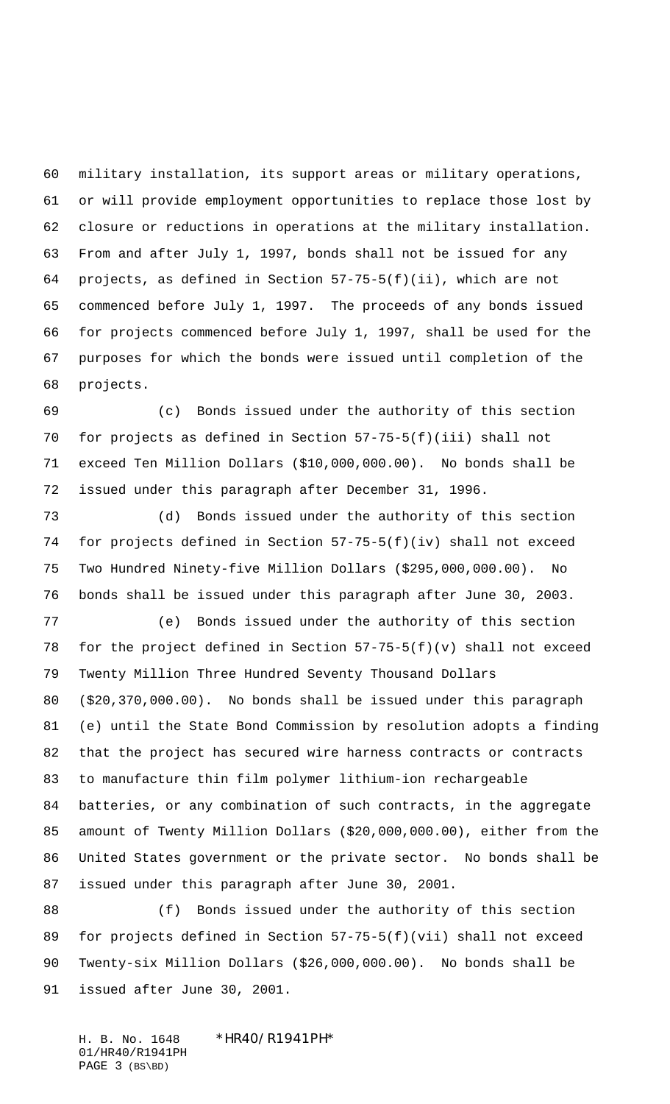military installation, its support areas or military operations, or will provide employment opportunities to replace those lost by closure or reductions in operations at the military installation. From and after July 1, 1997, bonds shall not be issued for any projects, as defined in Section 57-75-5(f)(ii), which are not commenced before July 1, 1997. The proceeds of any bonds issued for projects commenced before July 1, 1997, shall be used for the purposes for which the bonds were issued until completion of the projects.

 (c) Bonds issued under the authority of this section for projects as defined in Section 57-75-5(f)(iii) shall not exceed Ten Million Dollars (\$10,000,000.00). No bonds shall be issued under this paragraph after December 31, 1996.

 (d) Bonds issued under the authority of this section for projects defined in Section 57-75-5(f)(iv) shall not exceed Two Hundred Ninety-five Million Dollars (\$295,000,000.00). No bonds shall be issued under this paragraph after June 30, 2003.

 (e) Bonds issued under the authority of this section for the project defined in Section 57-75-5(f)(v) shall not exceed Twenty Million Three Hundred Seventy Thousand Dollars (\$20,370,000.00). No bonds shall be issued under this paragraph (e) until the State Bond Commission by resolution adopts a finding that the project has secured wire harness contracts or contracts to manufacture thin film polymer lithium-ion rechargeable batteries, or any combination of such contracts, in the aggregate amount of Twenty Million Dollars (\$20,000,000.00), either from the United States government or the private sector. No bonds shall be issued under this paragraph after June 30, 2001.

 (f) Bonds issued under the authority of this section for projects defined in Section 57-75-5(f)(vii) shall not exceed Twenty-six Million Dollars (\$26,000,000.00). No bonds shall be issued after June 30, 2001.

H. B. No. 1648 \*HR40/R1941PH\* 01/HR40/R1941PH PAGE 3 (BS\BD)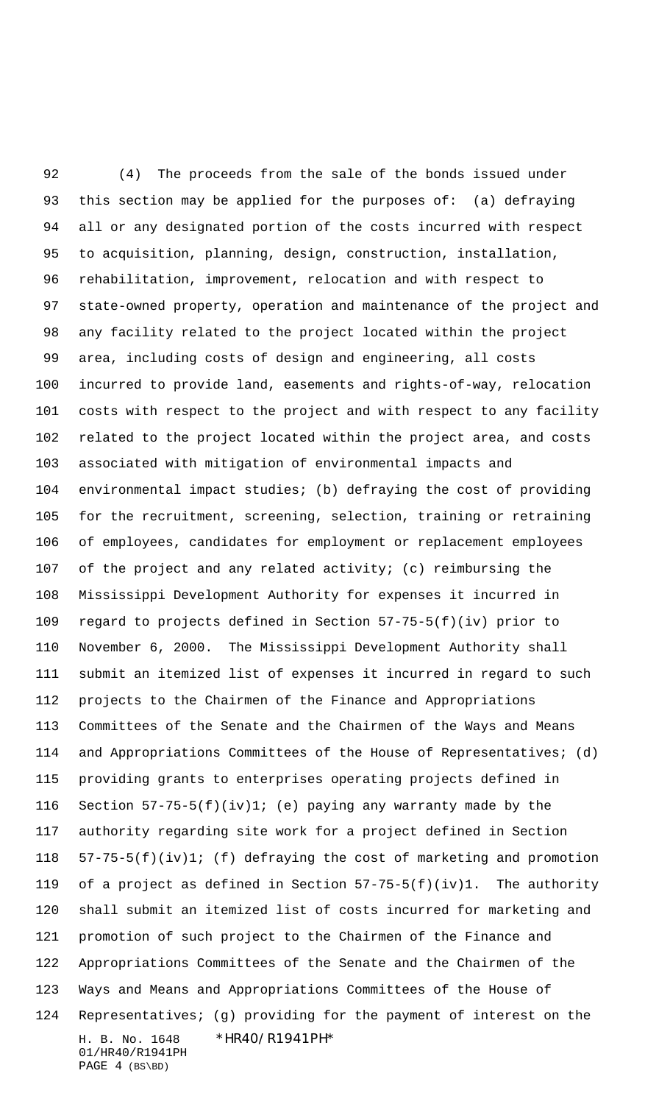H. B. No. 1648 \*HR40/R1941PH\* 01/HR40/R1941PH (4) The proceeds from the sale of the bonds issued under this section may be applied for the purposes of: (a) defraying all or any designated portion of the costs incurred with respect to acquisition, planning, design, construction, installation, rehabilitation, improvement, relocation and with respect to state-owned property, operation and maintenance of the project and any facility related to the project located within the project area, including costs of design and engineering, all costs incurred to provide land, easements and rights-of-way, relocation costs with respect to the project and with respect to any facility related to the project located within the project area, and costs associated with mitigation of environmental impacts and environmental impact studies; (b) defraying the cost of providing for the recruitment, screening, selection, training or retraining of employees, candidates for employment or replacement employees of the project and any related activity; (c) reimbursing the Mississippi Development Authority for expenses it incurred in regard to projects defined in Section 57-75-5(f)(iv) prior to November 6, 2000. The Mississippi Development Authority shall submit an itemized list of expenses it incurred in regard to such projects to the Chairmen of the Finance and Appropriations Committees of the Senate and the Chairmen of the Ways and Means and Appropriations Committees of the House of Representatives; (d) providing grants to enterprises operating projects defined in Section 57-75-5(f)(iv)1; (e) paying any warranty made by the authority regarding site work for a project defined in Section 57-75-5(f)(iv)1; (f) defraying the cost of marketing and promotion of a project as defined in Section 57-75-5(f)(iv)1. The authority shall submit an itemized list of costs incurred for marketing and promotion of such project to the Chairmen of the Finance and Appropriations Committees of the Senate and the Chairmen of the Ways and Means and Appropriations Committees of the House of Representatives; (g) providing for the payment of interest on the

PAGE 4 (BS\BD)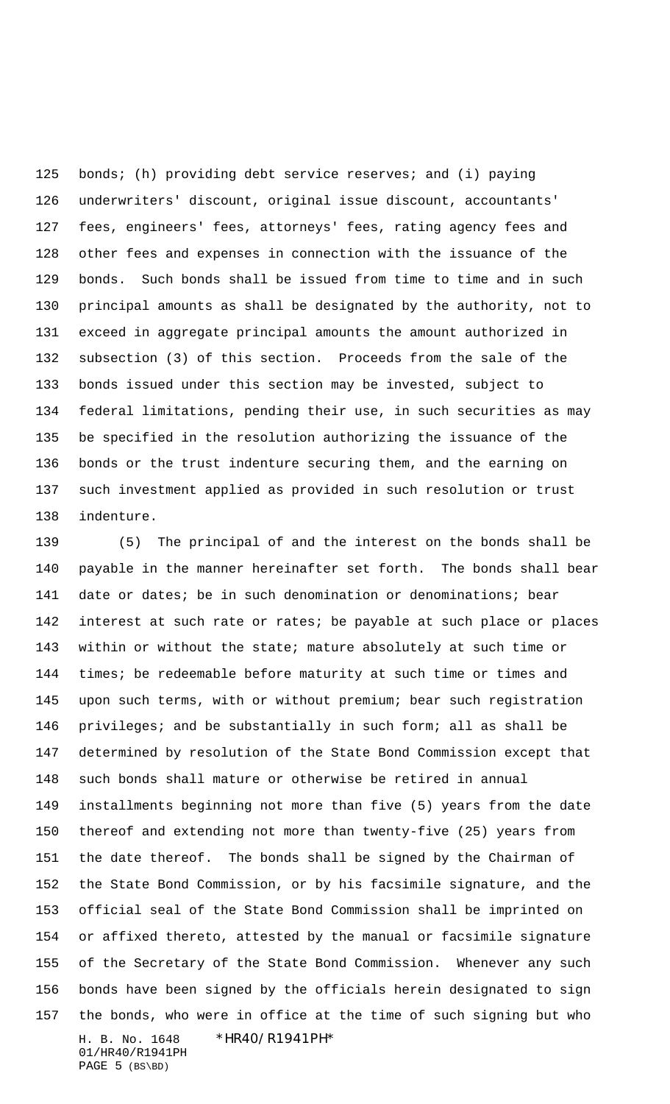125 bonds; (h) providing debt service reserves; and (i) paying underwriters' discount, original issue discount, accountants' fees, engineers' fees, attorneys' fees, rating agency fees and other fees and expenses in connection with the issuance of the bonds. Such bonds shall be issued from time to time and in such principal amounts as shall be designated by the authority, not to exceed in aggregate principal amounts the amount authorized in subsection (3) of this section. Proceeds from the sale of the bonds issued under this section may be invested, subject to federal limitations, pending their use, in such securities as may be specified in the resolution authorizing the issuance of the bonds or the trust indenture securing them, and the earning on such investment applied as provided in such resolution or trust indenture.

H. B. No. 1648 \*HR40/R1941PH\* 01/HR40/R1941PH (5) The principal of and the interest on the bonds shall be payable in the manner hereinafter set forth. The bonds shall bear date or dates; be in such denomination or denominations; bear interest at such rate or rates; be payable at such place or places within or without the state; mature absolutely at such time or times; be redeemable before maturity at such time or times and upon such terms, with or without premium; bear such registration privileges; and be substantially in such form; all as shall be determined by resolution of the State Bond Commission except that such bonds shall mature or otherwise be retired in annual installments beginning not more than five (5) years from the date thereof and extending not more than twenty-five (25) years from the date thereof. The bonds shall be signed by the Chairman of the State Bond Commission, or by his facsimile signature, and the official seal of the State Bond Commission shall be imprinted on or affixed thereto, attested by the manual or facsimile signature of the Secretary of the State Bond Commission. Whenever any such bonds have been signed by the officials herein designated to sign the bonds, who were in office at the time of such signing but who

PAGE 5 (BS\BD)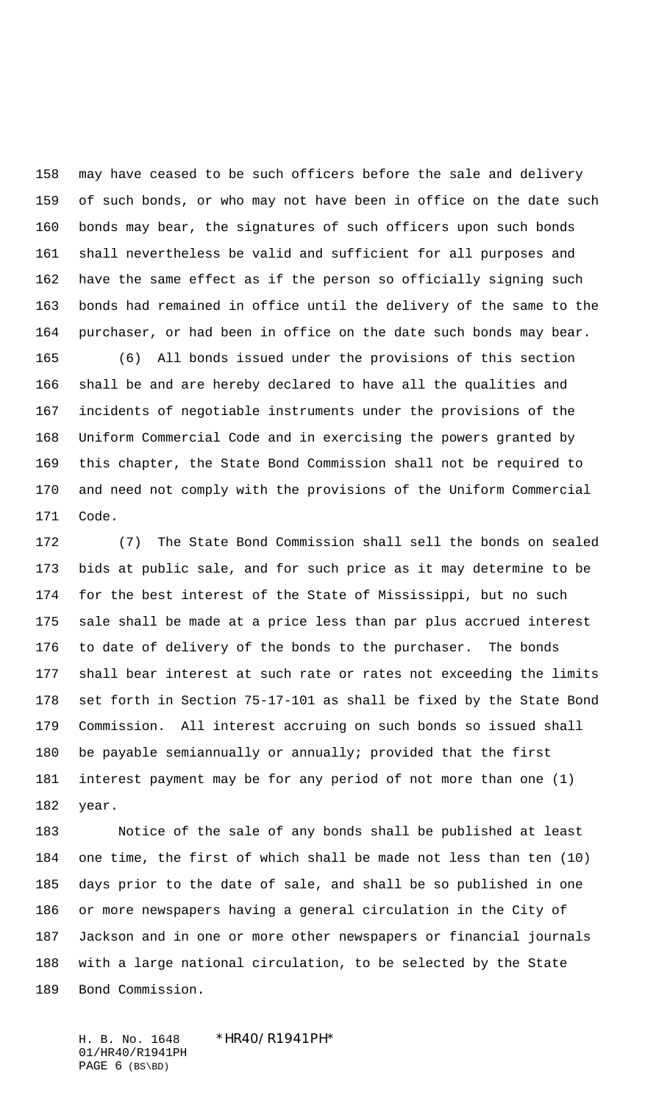may have ceased to be such officers before the sale and delivery of such bonds, or who may not have been in office on the date such bonds may bear, the signatures of such officers upon such bonds shall nevertheless be valid and sufficient for all purposes and have the same effect as if the person so officially signing such bonds had remained in office until the delivery of the same to the purchaser, or had been in office on the date such bonds may bear.

 (6) All bonds issued under the provisions of this section shall be and are hereby declared to have all the qualities and incidents of negotiable instruments under the provisions of the Uniform Commercial Code and in exercising the powers granted by this chapter, the State Bond Commission shall not be required to and need not comply with the provisions of the Uniform Commercial Code.

 (7) The State Bond Commission shall sell the bonds on sealed bids at public sale, and for such price as it may determine to be for the best interest of the State of Mississippi, but no such sale shall be made at a price less than par plus accrued interest to date of delivery of the bonds to the purchaser. The bonds shall bear interest at such rate or rates not exceeding the limits set forth in Section 75-17-101 as shall be fixed by the State Bond Commission. All interest accruing on such bonds so issued shall be payable semiannually or annually; provided that the first interest payment may be for any period of not more than one (1) year.

 Notice of the sale of any bonds shall be published at least one time, the first of which shall be made not less than ten (10) days prior to the date of sale, and shall be so published in one or more newspapers having a general circulation in the City of Jackson and in one or more other newspapers or financial journals with a large national circulation, to be selected by the State Bond Commission.

H. B. No. 1648 \*HR40/R1941PH\* 01/HR40/R1941PH PAGE (BS\BD)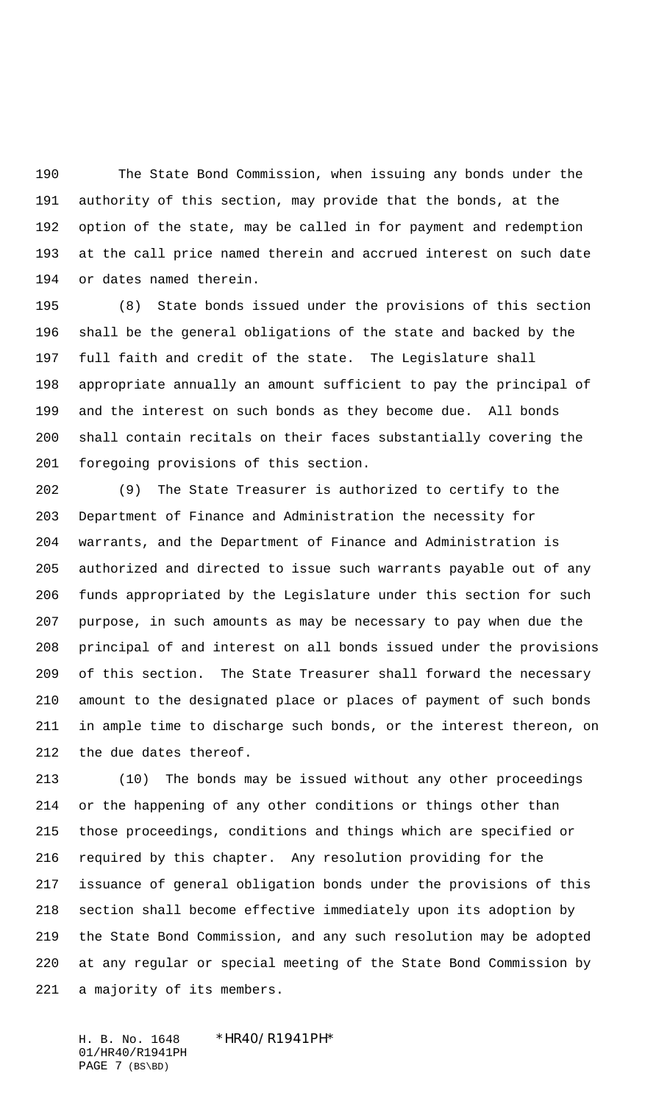The State Bond Commission, when issuing any bonds under the authority of this section, may provide that the bonds, at the option of the state, may be called in for payment and redemption at the call price named therein and accrued interest on such date or dates named therein.

 (8) State bonds issued under the provisions of this section shall be the general obligations of the state and backed by the full faith and credit of the state. The Legislature shall appropriate annually an amount sufficient to pay the principal of and the interest on such bonds as they become due. All bonds shall contain recitals on their faces substantially covering the foregoing provisions of this section.

 (9) The State Treasurer is authorized to certify to the Department of Finance and Administration the necessity for warrants, and the Department of Finance and Administration is authorized and directed to issue such warrants payable out of any funds appropriated by the Legislature under this section for such purpose, in such amounts as may be necessary to pay when due the principal of and interest on all bonds issued under the provisions of this section. The State Treasurer shall forward the necessary amount to the designated place or places of payment of such bonds in ample time to discharge such bonds, or the interest thereon, on the due dates thereof.

 (10) The bonds may be issued without any other proceedings or the happening of any other conditions or things other than those proceedings, conditions and things which are specified or required by this chapter. Any resolution providing for the issuance of general obligation bonds under the provisions of this section shall become effective immediately upon its adoption by the State Bond Commission, and any such resolution may be adopted at any regular or special meeting of the State Bond Commission by a majority of its members.

H. B. No. 1648 \*HR40/R1941PH\* 01/HR40/R1941PH PAGE 7 (BS\BD)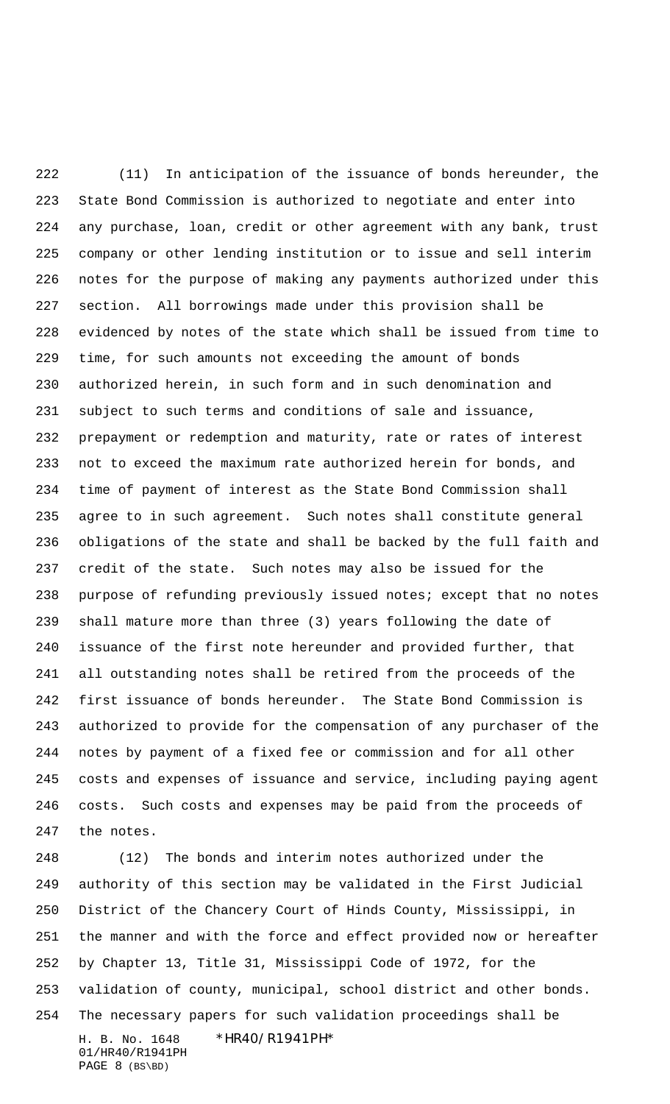(11) In anticipation of the issuance of bonds hereunder, the State Bond Commission is authorized to negotiate and enter into any purchase, loan, credit or other agreement with any bank, trust company or other lending institution or to issue and sell interim notes for the purpose of making any payments authorized under this section. All borrowings made under this provision shall be evidenced by notes of the state which shall be issued from time to time, for such amounts not exceeding the amount of bonds authorized herein, in such form and in such denomination and subject to such terms and conditions of sale and issuance, prepayment or redemption and maturity, rate or rates of interest not to exceed the maximum rate authorized herein for bonds, and time of payment of interest as the State Bond Commission shall agree to in such agreement. Such notes shall constitute general obligations of the state and shall be backed by the full faith and credit of the state. Such notes may also be issued for the purpose of refunding previously issued notes; except that no notes shall mature more than three (3) years following the date of issuance of the first note hereunder and provided further, that all outstanding notes shall be retired from the proceeds of the first issuance of bonds hereunder. The State Bond Commission is authorized to provide for the compensation of any purchaser of the notes by payment of a fixed fee or commission and for all other costs and expenses of issuance and service, including paying agent costs. Such costs and expenses may be paid from the proceeds of the notes.

H. B. No. 1648 \*HR40/R1941PH\* 01/HR40/R1941PH PAGE 8 (BS\BD) (12) The bonds and interim notes authorized under the authority of this section may be validated in the First Judicial District of the Chancery Court of Hinds County, Mississippi, in the manner and with the force and effect provided now or hereafter by Chapter 13, Title 31, Mississippi Code of 1972, for the validation of county, municipal, school district and other bonds. The necessary papers for such validation proceedings shall be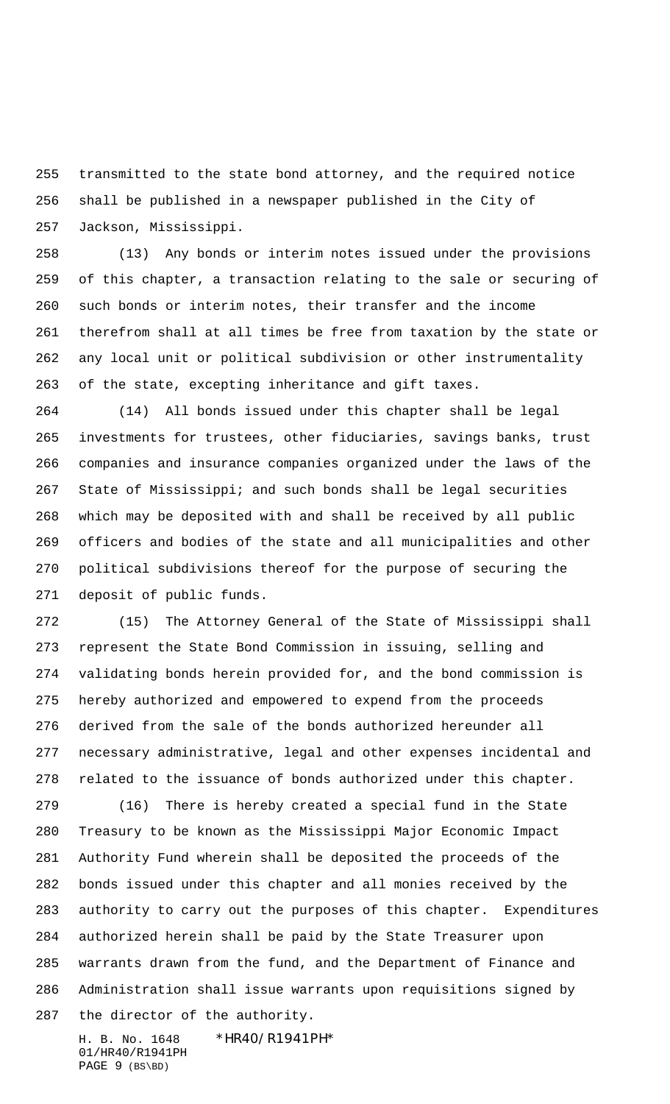transmitted to the state bond attorney, and the required notice shall be published in a newspaper published in the City of Jackson, Mississippi.

 (13) Any bonds or interim notes issued under the provisions of this chapter, a transaction relating to the sale or securing of such bonds or interim notes, their transfer and the income therefrom shall at all times be free from taxation by the state or any local unit or political subdivision or other instrumentality of the state, excepting inheritance and gift taxes.

 (14) All bonds issued under this chapter shall be legal investments for trustees, other fiduciaries, savings banks, trust companies and insurance companies organized under the laws of the State of Mississippi; and such bonds shall be legal securities which may be deposited with and shall be received by all public officers and bodies of the state and all municipalities and other political subdivisions thereof for the purpose of securing the deposit of public funds.

 (15) The Attorney General of the State of Mississippi shall represent the State Bond Commission in issuing, selling and validating bonds herein provided for, and the bond commission is hereby authorized and empowered to expend from the proceeds derived from the sale of the bonds authorized hereunder all necessary administrative, legal and other expenses incidental and related to the issuance of bonds authorized under this chapter.

 (16) There is hereby created a special fund in the State Treasury to be known as the Mississippi Major Economic Impact Authority Fund wherein shall be deposited the proceeds of the bonds issued under this chapter and all monies received by the authority to carry out the purposes of this chapter. Expenditures authorized herein shall be paid by the State Treasurer upon warrants drawn from the fund, and the Department of Finance and Administration shall issue warrants upon requisitions signed by the director of the authority.

H. B. No. 1648 \*HR40/R1941PH\* 01/HR40/R1941PH PAGE 9 (BS\BD)